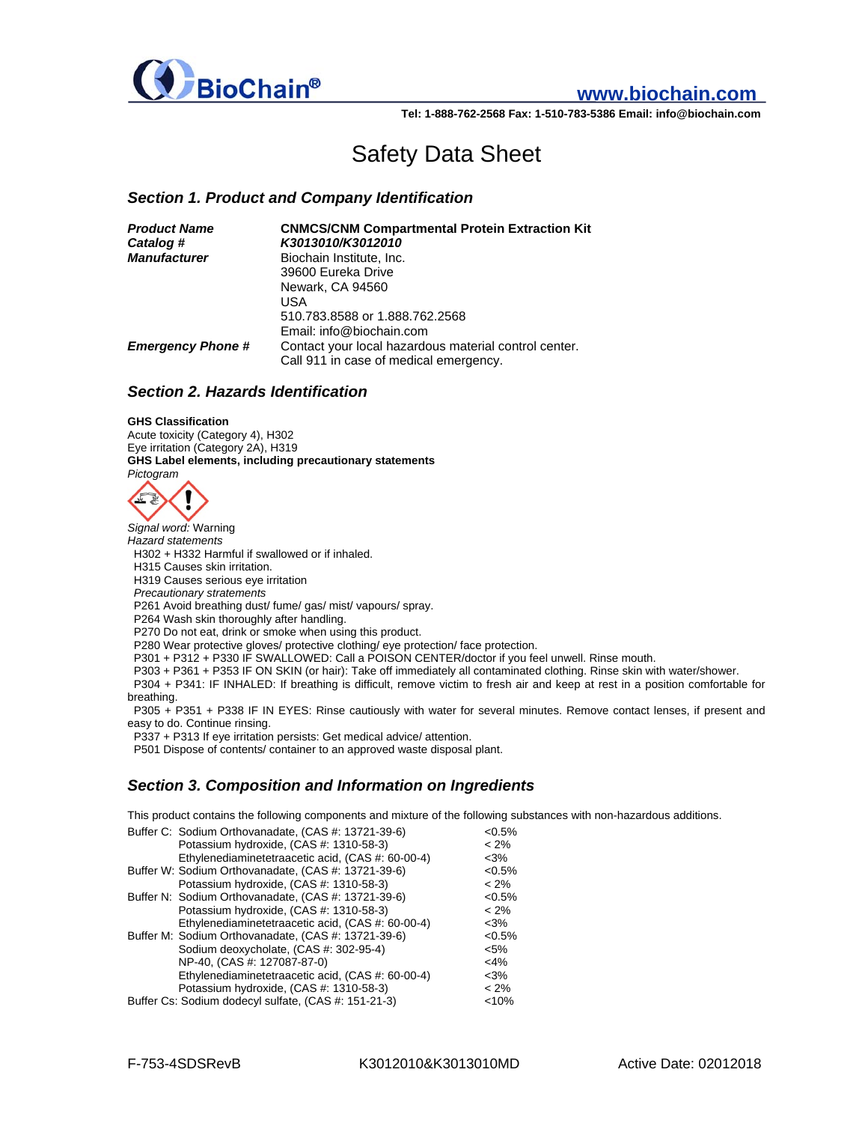

# **www.biochain.com**

**Tel: 1-888-762-2568 Fax: 1-510-783-5386 Email: info@biochain.com**

# Safety Data Sheet

## *Section 1. Product and Company Identification*

| <b>Product Name</b>      | <b>CNMCS/CNM Compartmental Protein Extraction Kit</b> |
|--------------------------|-------------------------------------------------------|
| Catalog #                | K3013010/K3012010                                     |
| <b>Manufacturer</b>      | Biochain Institute, Inc.                              |
|                          | 39600 Eureka Drive                                    |
|                          | Newark, CA 94560                                      |
|                          | USA                                                   |
|                          | 510.783.8588 or 1.888.762.2568                        |
|                          | Email: info@biochain.com                              |
| <b>Emergency Phone #</b> | Contact your local hazardous material control center. |
|                          | Call 911 in case of medical emergency.                |

#### *Section 2. Hazards Identification*

#### **GHS Classification**

Acute toxicity (Category 4), H302 Eye irritation (Category 2A), H319 **GHS Label elements, including precautionary statements**  *Pictogram* 



*Signal word:* Warning *Hazard statements*  H302 + H332 Harmful if swallowed or if inhaled. H315 Causes skin irritation. H319 Causes serious eye irritation  *Precautionary stratements*  P261 Avoid breathing dust/ fume/ gas/ mist/ vapours/ spray. P264 Wash skin thoroughly after handling. P270 Do not eat, drink or smoke when using this product. P280 Wear protective gloves/ protective clothing/ eye protection/ face protection. P301 + P312 + P330 IF SWALLOWED: Call a POISON CENTER/doctor if you feel unwell. Rinse mouth. P303 + P361 + P353 IF ON SKIN (or hair): Take off immediately all contaminated clothing. Rinse skin with water/shower. P304 + P341: IF INHALED: If breathing is difficult, remove victim to fresh air and keep at rest in a position comfortable for breathing. P305 + P351 + P338 IF IN EYES: Rinse cautiously with water for several minutes. Remove contact lenses, if present and easy to do. Continue rinsing.

P337 + P313 If eye irritation persists: Get medical advice/ attention.

P501 Dispose of contents/ container to an approved waste disposal plant.

#### *Section 3. Composition and Information on Ingredients*

This product contains the following components and mixture of the following substances with non-hazardous additions.

|  | Buffer C: Sodium Orthovanadate, (CAS #: 13721-39-6)  | $<0.5\%$  |
|--|------------------------------------------------------|-----------|
|  |                                                      |           |
|  | Potassium hydroxide, (CAS #: 1310-58-3)              | $< 2\%$   |
|  | Ethylenediaminetetraacetic acid, (CAS #: 60-00-4)    | $<3\%$    |
|  | Buffer W: Sodium Orthovanadate, (CAS #: 13721-39-6)  | $<0.5\%$  |
|  | Potassium hydroxide, (CAS #: 1310-58-3)              | $< 2\%$   |
|  | Buffer N: Sodium Orthovanadate, (CAS #: 13721-39-6)  | $< 0.5\%$ |
|  | Potassium hydroxide, (CAS #: 1310-58-3)              | $< 2\%$   |
|  | Ethylenediaminetetraacetic acid, (CAS #: 60-00-4)    | $<$ 3%    |
|  | Buffer M: Sodium Orthovanadate, (CAS #: 13721-39-6)  | $< 0.5\%$ |
|  | Sodium deoxycholate, (CAS #: 302-95-4)               | $< 5\%$   |
|  | NP-40, (CAS #: 127087-87-0)                          | $<$ 4%    |
|  | Ethylenediaminetetraacetic acid, (CAS #: 60-00-4)    | $<3\%$    |
|  | Potassium hydroxide, (CAS #: 1310-58-3)              | $< 2\%$   |
|  | Buffer Cs: Sodium dodecyl sulfate, (CAS #: 151-21-3) | < 10%     |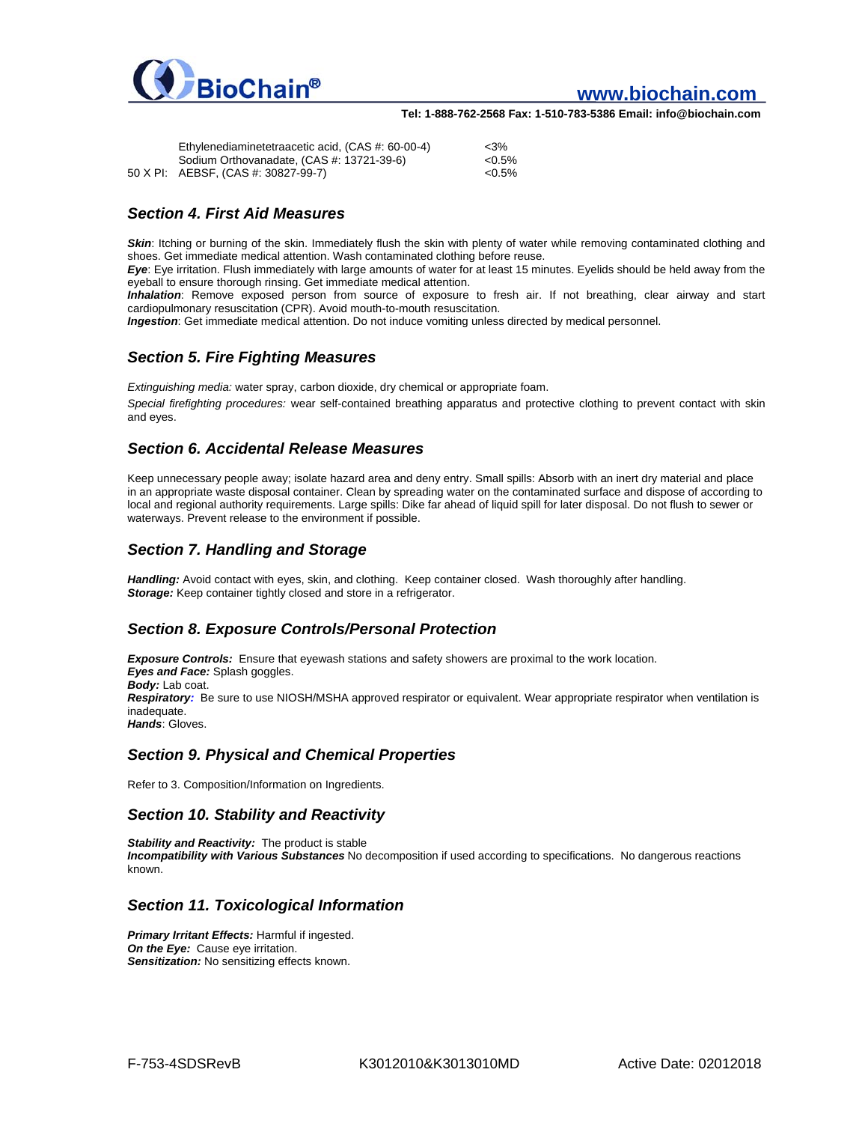

# **www.biochain.com**

**Tel: 1-888-762-2568 Fax: 1-510-783-5386 Email: info@biochain.com**

| Ethylenediaminetetraacetic acid. (CAS #: 60-00-4) | $<$ 3%   |
|---------------------------------------------------|----------|
| Sodium Orthovanadate, (CAS #: 13721-39-6)         | $<0.5\%$ |
| 50 X PI: AEBSF, (CAS #: 30827-99-7)               | $<0.5\%$ |

# *Section 4. First Aid Measures*

**Skin:** Itching or burning of the skin. Immediately flush the skin with plenty of water while removing contaminated clothing and shoes. Get immediate medical attention. Wash contaminated clothing before reuse.

*Eye*: Eye irritation. Flush immediately with large amounts of water for at least 15 minutes. Eyelids should be held away from the eyeball to ensure thorough rinsing. Get immediate medical attention.

*Inhalation*: Remove exposed person from source of exposure to fresh air. If not breathing, clear airway and start cardiopulmonary resuscitation (CPR). Avoid mouth-to-mouth resuscitation.

*Ingestion*: Get immediate medical attention. Do not induce vomiting unless directed by medical personnel.

## *Section 5. Fire Fighting Measures*

*Extinguishing media:* water spray, carbon dioxide, dry chemical or appropriate foam. *Special firefighting procedures:* wear self-contained breathing apparatus and protective clothing to prevent contact with skin and eyes.

## *Section 6. Accidental Release Measures*

Keep unnecessary people away; isolate hazard area and deny entry. Small spills: Absorb with an inert dry material and place in an appropriate waste disposal container. Clean by spreading water on the contaminated surface and dispose of according to local and regional authority requirements. Large spills: Dike far ahead of liquid spill for later disposal. Do not flush to sewer or waterways. Prevent release to the environment if possible.

# *Section 7. Handling and Storage*

*Handling:* Avoid contact with eyes, skin, and clothing. Keep container closed. Wash thoroughly after handling. **Storage:** Keep container tightly closed and store in a refrigerator.

# *Section 8. Exposure Controls/Personal Protection*

*Exposure Controls:* Ensure that eyewash stations and safety showers are proximal to the work location. *Eyes and Face:* Splash goggles. *Body:* Lab coat. *Respiratory:* Be sure to use NIOSH/MSHA approved respirator or equivalent. Wear appropriate respirator when ventilation is inadequate. *Hands*: Gloves.

#### *Section 9. Physical and Chemical Properties*

Refer to 3. Composition/Information on Ingredients.

#### *Section 10. Stability and Reactivity*

*Stability and Reactivity:* The product is stable *Incompatibility with Various Substances* No decomposition if used according to specifications. No dangerous reactions known.

#### *Section 11. Toxicological Information*

*Primary Irritant Effects:* Harmful if ingested. **On the Eye:** Cause eye irritation. **Sensitization:** No sensitizing effects known.